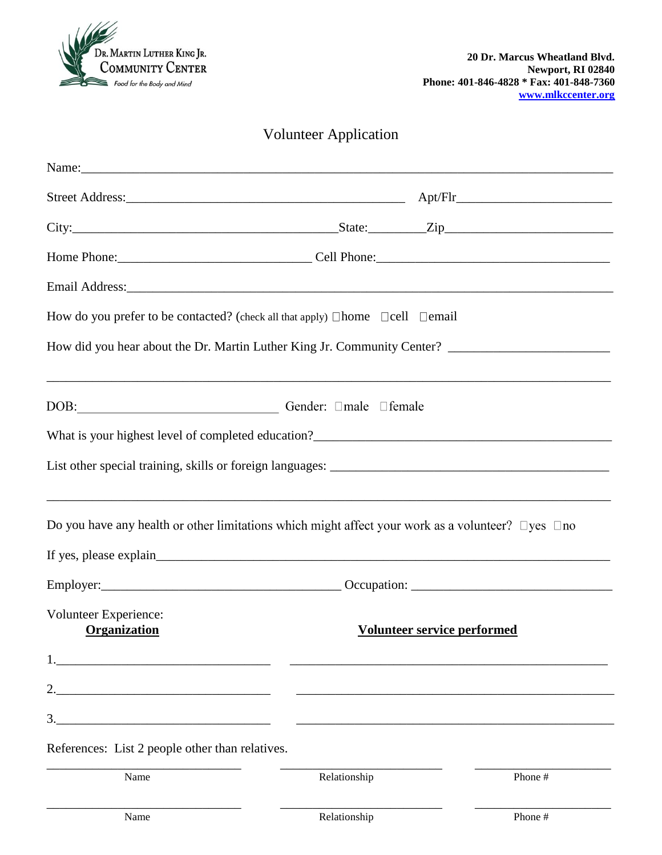

## Volunteer Application

| Name: Name: Name: Name: Name: Name: Name: Name: Name: Name: Name: Name: Name: Name: Name: Name: Name: Name: Name: Name: Name: Name: Name: Name: Name: Name: Name: Name: Name: Name: Name: Name: Name: Name: Name: Name: Name: |              |                                    |
|-------------------------------------------------------------------------------------------------------------------------------------------------------------------------------------------------------------------------------|--------------|------------------------------------|
|                                                                                                                                                                                                                               |              |                                    |
|                                                                                                                                                                                                                               |              |                                    |
|                                                                                                                                                                                                                               |              |                                    |
|                                                                                                                                                                                                                               |              |                                    |
| How do you prefer to be contacted? (check all that apply) $\Box$ home $\Box$ cell $\Box$ email                                                                                                                                |              |                                    |
| How did you hear about the Dr. Martin Luther King Jr. Community Center? ___________________________                                                                                                                           |              |                                    |
| DOB: Gender: $\Box$ male $\Box$ female                                                                                                                                                                                        |              |                                    |
|                                                                                                                                                                                                                               |              |                                    |
|                                                                                                                                                                                                                               |              |                                    |
| Do you have any health or other limitations which might affect your work as a volunteer? $\Box$ yes $\Box$ no                                                                                                                 |              |                                    |
|                                                                                                                                                                                                                               |              |                                    |
|                                                                                                                                                                                                                               |              |                                    |
| Volunteer Experience:<br>Organization                                                                                                                                                                                         |              | <b>Volunteer service performed</b> |
|                                                                                                                                                                                                                               |              |                                    |
| <u> 1989 - Johann John Stone, mars et al. (1989)</u>                                                                                                                                                                          |              |                                    |
| 3.<br><u> 1989 - Johann Stein, marwolaethau a bhann an t-Amhainn an t-Amhainn an t-Amhainn an t-Amhainn an t-Amhainn an</u>                                                                                                   |              |                                    |
| References: List 2 people other than relatives.                                                                                                                                                                               |              |                                    |
| Name                                                                                                                                                                                                                          | Relationship | Phone #                            |